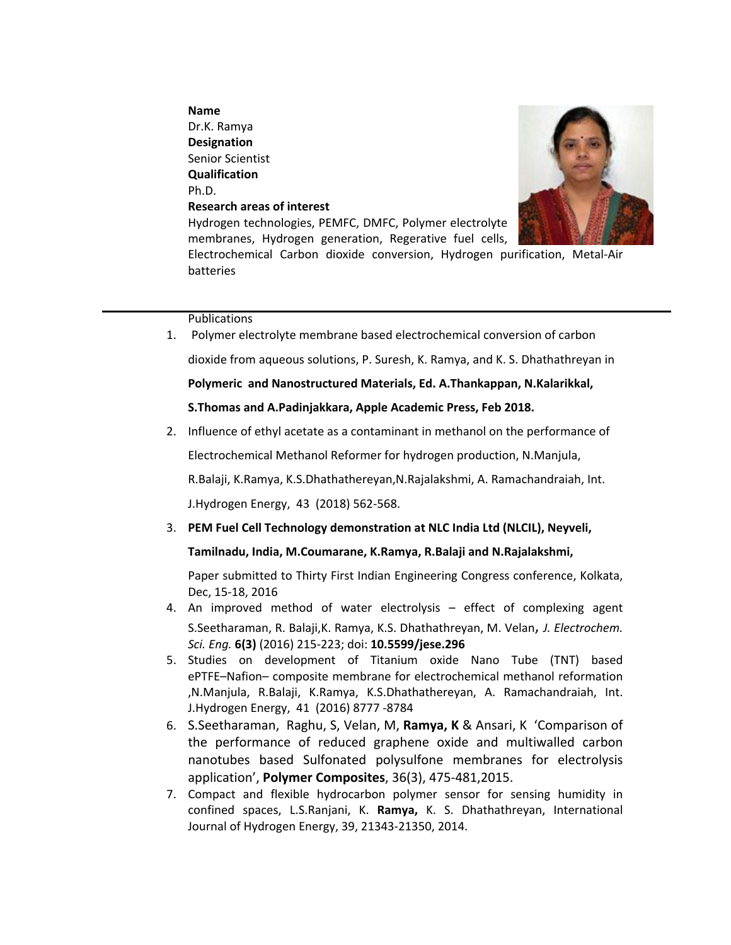### **Name**

Dr.K. Ramya **Designation**  Senior Scientist **Qualification**  Ph.D. **Research areas of interest** 



Hydrogen technologies, PEMFC, DMFC, Polymer electrolyte membranes, Hydrogen generation, Regerative fuel cells,

Electrochemical Carbon dioxide conversion, Hydrogen purification, Metal-Air batteries

### Publications

1. Polymer electrolyte membrane based electrochemical conversion of carbon dioxide from aqueous solutions, P. Suresh, K. Ramya, and K. S. Dhathathreyan in

**Polymeric and Nanostructured Materials, Ed. A.Thankappan, N.Kalarikkal,** 

# **S.Thomas and A.Padinjakkara, Apple Academic Press, Feb 2018.**

2. Influence of ethyl acetate as a contaminant in methanol on the performance of

Electrochemical Methanol Reformer for hydrogen production, N.Manjula,

R.Balaji, K.Ramya, K.S.Dhathathereyan,N.Rajalakshmi, A. Ramachandraiah, Int.

J.Hydrogen Energy, 43 (2018) 562-568.

3. **PEM Fuel Cell Technology demonstration at NLC India Ltd (NLCIL), Neyveli,** 

# **Tamilnadu, India, M.Coumarane, K.Ramya, R.Balaji and N.Rajalakshmi,**

Paper submitted to Thirty First Indian Engineering Congress conference, Kolkata, Dec, 15-18, 2016

- 4. An improved method of water electrolysis effect of complexing agent S.Seetharaman, R. Balaji,K. Ramya, K.S. Dhathathreyan, M. Velan, *J. Electrochem. Sci. Eng.* **6(3)** (2016) 215-223; doi: **10.5599/jese.296**
- 5. Studies on development of Titanium oxide Nano Tube (TNT) based ePTFE–Nafion– composite membrane for electrochemical methanol reformation ,N.Manjula, R.Balaji, K.Ramya, K.S.Dhathathereyan, A. Ramachandraiah, Int. J.Hydrogen Energy, 41 (2016) 8777 -8784
- 6. S.Seetharaman, Raghu, S, Velan, M, **Ramya, K** & Ansari, K 'Comparison of the performance of reduced graphene oxide and multiwalled carbon nanotubes based Sulfonated polysulfone membranes for electrolysis application', **Polymer Composites**, 36(3), 475-481,2015.
- 7. Compact and flexible hydrocarbon polymer sensor for sensing humidity in confined spaces, L.S.Ranjani, K. **Ramya,** K. S. Dhathathreyan, International Journal of Hydrogen Energy, 39, 21343-21350, 2014.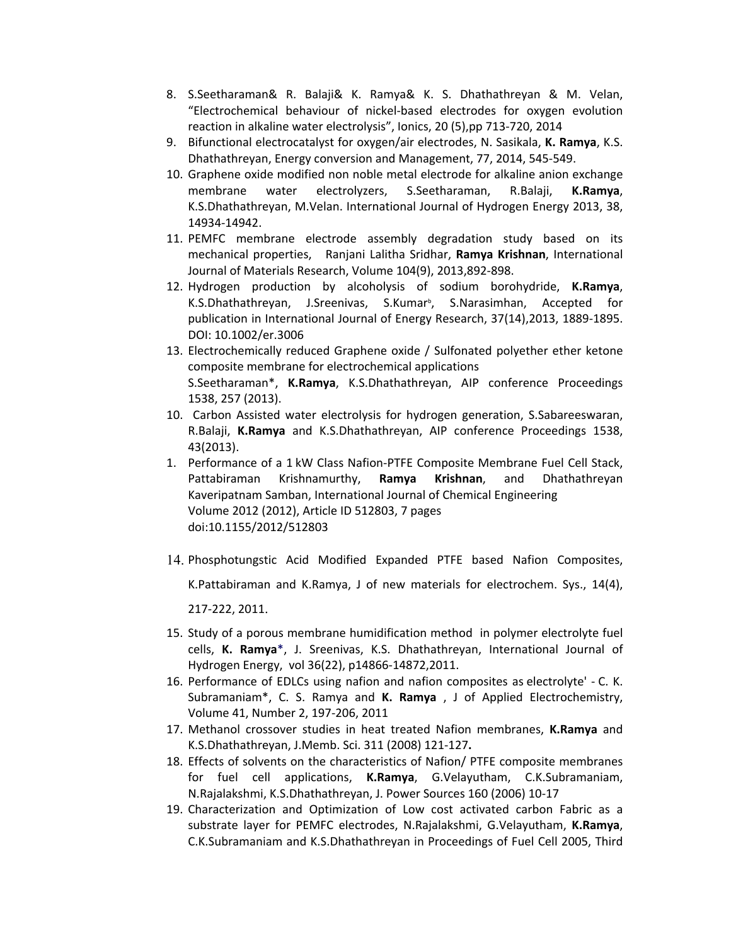- 8. S.Seetharaman& R. Balaji& K. Ramya& K. S. Dhathathreyan & M. Velan, "Electrochemical behaviour of nickel-based electrodes for oxygen evolution reaction in alkaline water electrolysis", Ionics, 20 (5),pp 713-720, 2014
- 9. Bifunctional electrocatalyst for oxygen/air electrodes, N. Sasikala, **K. Ramya**, K.S. Dhathathreyan, Energy conversion and Management, 77, 2014, 545-549.
- 10. Graphene oxide modified non noble metal electrode for alkaline anion exchange membrane water electrolyzers, S.Seetharaman, R.Balaji, **K.Ramya**, K.S.Dhathathreyan, M.Velan. International Journal of Hydrogen Energy 2013, 38, 14934-14942.
- 11. PEMFC membrane electrode assembly degradation study based on its mechanical properties, Ranjani Lalitha Sridhar, **Ramya Krishnan**, International Journal of Materials Research, Volume 104(9), 2013,892-898.
- 12. Hydrogen production by alcoholysis of sodium borohydride, **K.Ramya**,<br>K.S.Dhathathreyan, J.Sreenivas, S.Kumar<sup>b</sup>, S.Narasimhan, Accepted for publication in International Journal of Energy Research, 37(14),2013, 1889-1895. DOI: 10.1002/er.3006
- 13. Electrochemically reduced Graphene oxide / Sulfonated polyether ether ketone composite membrane for electrochemical applications S.Seetharaman\*, **K.Ramya**, K.S.Dhathathreyan, AIP conference Proceedings 1538, 257 (2013).
- 10. Carbon Assisted water electrolysis for hydrogen generation, S.Sabareeswaran, R.Balaji, **K.Ramya** and K.S.Dhathathreyan, AIP conference Proceedings 1538, 43(2013).
- 1. Performance of a 1 kW Class Nafion-PTFE Composite Membrane Fuel Cell Stack, Pattabiraman Krishnamurthy, **Ramya Krishnan**, and Dhathathreyan Kaveripatnam Samban, International Journal of Chemical Engineering Volume 2012 (2012), Article ID 512803, 7 pages doi:10.1155/2012/512803
- 14. Phosphotungstic Acid Modified Expanded PTFE based Nafion Composites,

K.Pattabiraman and K.Ramya, J of new materials for electrochem. Sys., 14(4),

217-222, 2011.

- 15. Study of a porous membrane humidification method in polymer electrolyte fuel cells, **K. Ramya**\*, J. Sreenivas, K.S. Dhathathreyan, International Journal of Hydrogen Energy, vol 36(22), p14866-14872,2011.
- 16. Performance of EDLCs using nafion and nafion composites as electrolyte' C. K. Subramaniam\*, C. S. Ramya and **K. Ramya** , J of Applied Electrochemistry, Volume 41, Number 2, 197-206, 2011
- 17. Methanol crossover studies in heat treated Nafion membranes, **K.Ramya** and K.S.Dhathathreyan, J.Memb. Sci. 311 (2008) 121-127**.**
- 18. Effects of solvents on the characteristics of Nafion/ PTFE composite membranes for fuel cell applications, **K.Ramya**, G.Velayutham, C.K.Subramaniam, N.Rajalakshmi, K.S.Dhathathreyan, J. Power Sources 160 (2006) 10-17
- 19. Characterization and Optimization of Low cost activated carbon Fabric as a substrate layer for PEMFC electrodes, N.Rajalakshmi, G.Velayutham, **K.Ramya**, C.K.Subramaniam and K.S.Dhathathreyan in Proceedings of Fuel Cell 2005, Third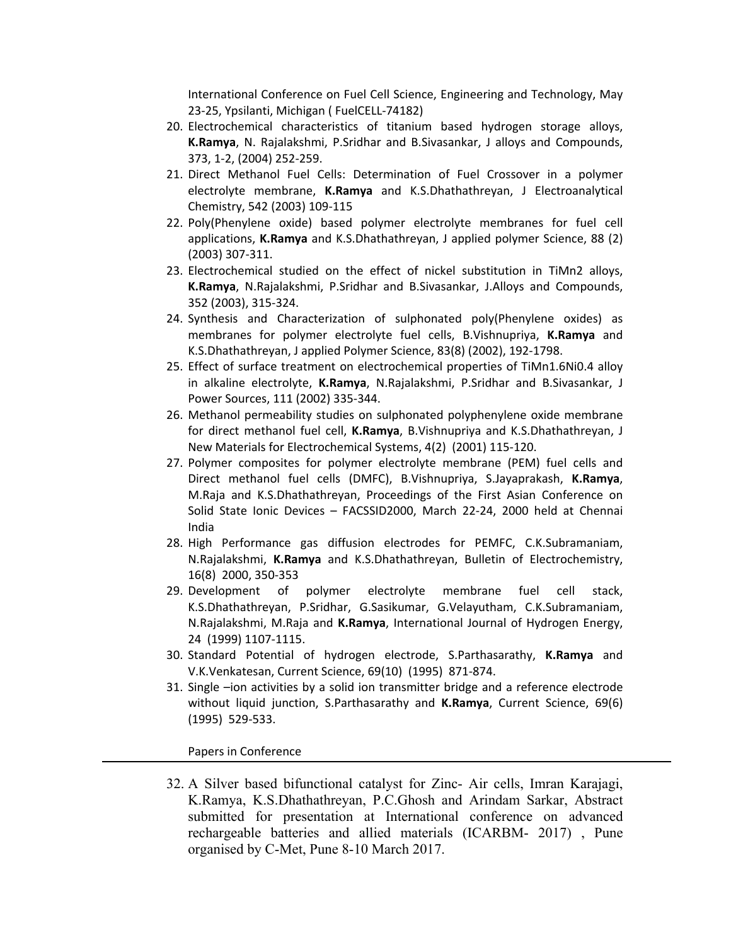International Conference on Fuel Cell Science, Engineering and Technology, May 23-25, Ypsilanti, Michigan ( FuelCELL-74182)

- 20. Electrochemical characteristics of titanium based hydrogen storage alloys, **K.Ramya**, N. Rajalakshmi, P.Sridhar and B.Sivasankar, J alloys and Compounds, 373, 1-2, (2004) 252-259.
- 21. Direct Methanol Fuel Cells: Determination of Fuel Crossover in a polymer electrolyte membrane, **K.Ramya** and K.S.Dhathathreyan, J Electroanalytical Chemistry, 542 (2003) 109-115
- 22. Poly(Phenylene oxide) based polymer electrolyte membranes for fuel cell applications, **K.Ramya** and K.S.Dhathathreyan, J applied polymer Science, 88 (2) (2003) 307-311.
- 23. Electrochemical studied on the effect of nickel substitution in TiMn2 alloys, **K.Ramya**, N.Rajalakshmi, P.Sridhar and B.Sivasankar, J.Alloys and Compounds, 352 (2003), 315-324.
- 24. Synthesis and Characterization of sulphonated poly(Phenylene oxides) as membranes for polymer electrolyte fuel cells, B.Vishnupriya, **K.Ramya** and K.S.Dhathathreyan, J applied Polymer Science, 83(8) (2002), 192-1798.
- 25. Effect of surface treatment on electrochemical properties of TiMn1.6Ni0.4 alloy in alkaline electrolyte, **K.Ramya**, N.Rajalakshmi, P.Sridhar and B.Sivasankar, J Power Sources, 111 (2002) 335-344.
- 26. Methanol permeability studies on sulphonated polyphenylene oxide membrane for direct methanol fuel cell, **K.Ramya**, B.Vishnupriya and K.S.Dhathathreyan, J New Materials for Electrochemical Systems, 4(2) (2001) 115-120.
- 27. Polymer composites for polymer electrolyte membrane (PEM) fuel cells and Direct methanol fuel cells (DMFC), B.Vishnupriya, S.Jayaprakash, **K.Ramya**, M.Raja and K.S.Dhathathreyan, Proceedings of the First Asian Conference on Solid State Ionic Devices – FACSSID2000, March 22-24, 2000 held at Chennai India
- 28. High Performance gas diffusion electrodes for PEMFC, C.K.Subramaniam, N.Rajalakshmi, **K.Ramya** and K.S.Dhathathreyan, Bulletin of Electrochemistry, 16(8) 2000, 350-353
- 29. Development of polymer electrolyte membrane fuel cell stack, K.S.Dhathathreyan, P.Sridhar, G.Sasikumar, G.Velayutham, C.K.Subramaniam, N.Rajalakshmi, M.Raja and **K.Ramya**, International Journal of Hydrogen Energy, 24 (1999) 1107-1115.
- 30. Standard Potential of hydrogen electrode, S.Parthasarathy, **K.Ramya** and V.K.Venkatesan, Current Science, 69(10) (1995) 871-874.
- 31. Single –ion activities by a solid ion transmitter bridge and a reference electrode without liquid junction, S.Parthasarathy and **K.Ramya**, Current Science, 69(6) (1995) 529-533.

#### Papers in Conference

32. A Silver based bifunctional catalyst for Zinc- Air cells, Imran Karajagi, K.Ramya, K.S.Dhathathreyan, P.C.Ghosh and Arindam Sarkar, Abstract submitted for presentation at International conference on advanced rechargeable batteries and allied materials (ICARBM- 2017) , Pune organised by C-Met, Pune 8-10 March 2017.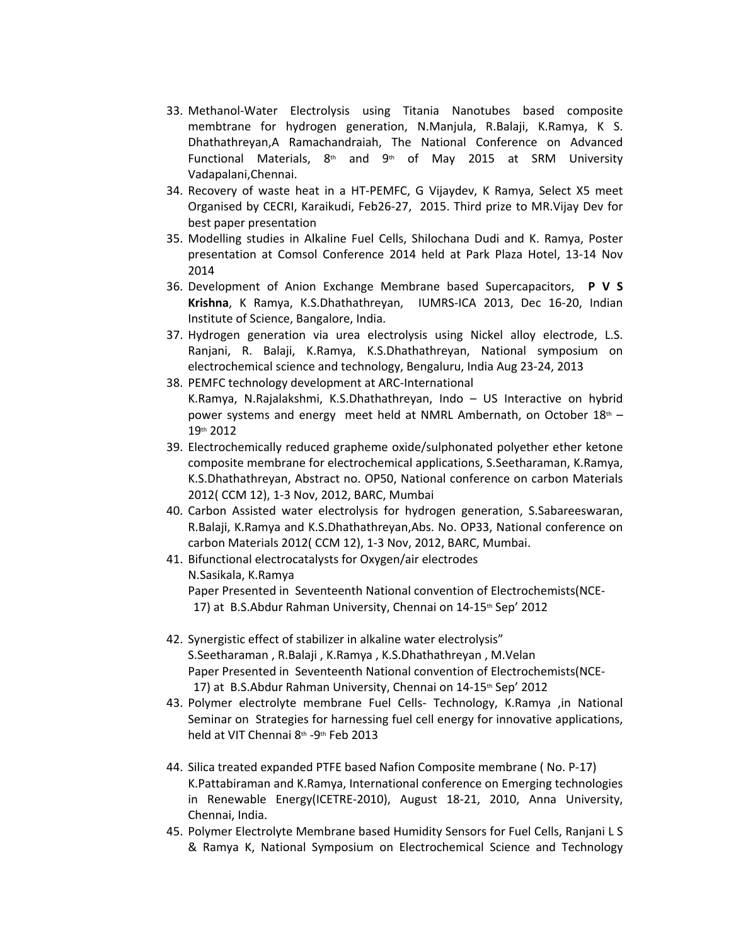- 33. Methanol-Water Electrolysis using Titania Nanotubes based composite membtrane for hydrogen generation, N.Manjula, R.Balaji, K.Ramya, K S. Dhathathreyan,A Ramachandraiah, The National Conference on Advanced Functional Materials,  $8<sup>th</sup>$  and  $9<sup>th</sup>$  of May 2015 at SRM University Vadapalani,Chennai.
- 34. Recovery of waste heat in a HT-PEMFC, G Vijaydev, K Ramya, Select X5 meet Organised by CECRI, Karaikudi, Feb26-27, 2015. Third prize to MR.Vijay Dev for best paper presentation
- 35. Modelling studies in Alkaline Fuel Cells, Shilochana Dudi and K. Ramya, Poster presentation at Comsol Conference 2014 held at Park Plaza Hotel, 13-14 Nov 2014
- 36. Development of Anion Exchange Membrane based Supercapacitors, **P V S Krishna**, K Ramya, K.S.Dhathathreyan, IUMRS-ICA 2013, Dec 16-20, Indian Institute of Science, Bangalore, India.
- 37. Hydrogen generation via urea electrolysis using Nickel alloy electrode, L.S. Ranjani, R. Balaji, K.Ramya, K.S.Dhathathreyan, National symposium on electrochemical science and technology, Bengaluru, India Aug 23-24, 2013
- 38. PEMFC technology development at ARC-International K.Ramya, N.Rajalakshmi, K.S.Dhathathreyan, Indo – US Interactive on hybrid power systems and energy meet held at NMRL Ambernath, on October  $18<sup>th</sup> - 19<sup>th</sup>2012$
- 39. Electrochemically reduced grapheme oxide/sulphonated polyether ether ketone composite membrane for electrochemical applications, S.Seetharaman, K.Ramya, K.S.Dhathathreyan, Abstract no. OP50, National conference on carbon Materials 2012( CCM 12), 1-3 Nov, 2012, BARC, Mumbai
- 40. Carbon Assisted water electrolysis for hydrogen generation, S.Sabareeswaran, R.Balaji, K.Ramya and K.S.Dhathathreyan,Abs. No. OP33, National conference on carbon Materials 2012( CCM 12), 1-3 Nov, 2012, BARC, Mumbai.
- 41. Bifunctional electrocatalysts for Oxygen/air electrodes N.Sasikala, K.Ramya Paper Presented in Seventeenth National convention of Electrochemists(NCE-17) at B.S.Abdur Rahman University, Chennai on 14-15<sup>th</sup> Sep' 2012
- 42. Synergistic effect of stabilizer in alkaline water electrolysis" S.Seetharaman , R.Balaji , K.Ramya , K.S.Dhathathreyan , M.Velan Paper Presented in Seventeenth National convention of Electrochemists(NCE-17) at B.S.Abdur Rahman University, Chennai on 14-15<sup>th</sup> Sep' 2012
- 43. Polymer electrolyte membrane Fuel Cells- Technology, K.Ramya ,in National Seminar on Strategies for harnessing fuel cell energy for innovative applications, held at VIT Chennai 8<sup>th</sup> -9<sup>th</sup> Feb 2013
- 44. Silica treated expanded PTFE based Nafion Composite membrane ( No. P-17) K.Pattabiraman and K.Ramya, International conference on Emerging technologies in Renewable Energy(ICETRE-2010), August 18-21, 2010, Anna University, Chennai, India.
- 45. Polymer Electrolyte Membrane based Humidity Sensors for Fuel Cells, Ranjani L S & Ramya K, National Symposium on Electrochemical Science and Technology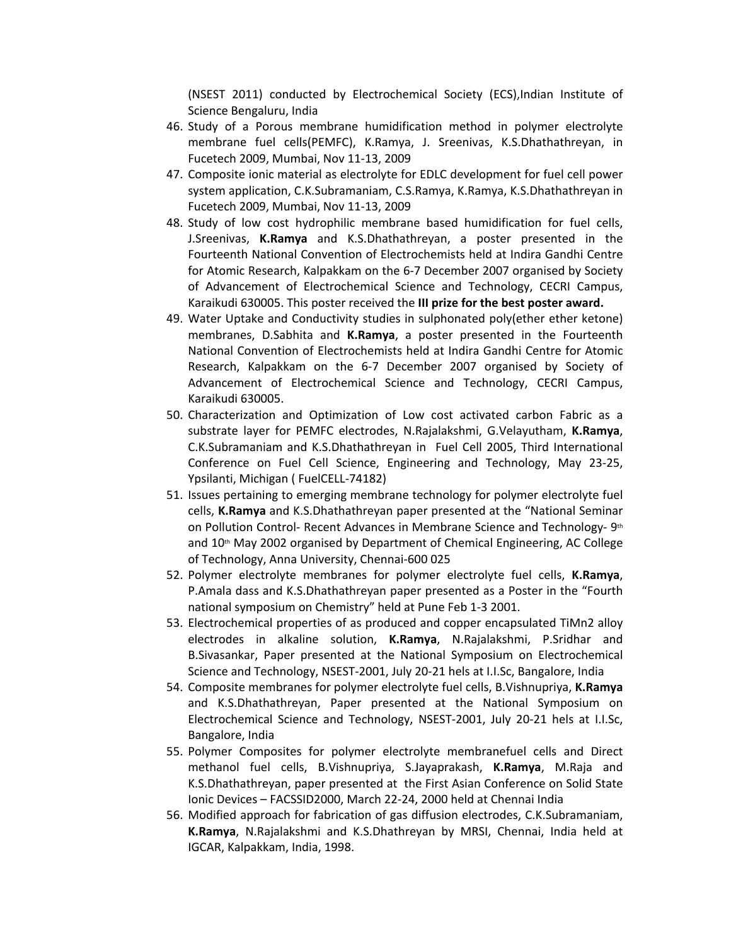(NSEST 2011) conducted by Electrochemical Society (ECS),Indian Institute of Science Bengaluru, India

- 46. Study of a Porous membrane humidification method in polymer electrolyte membrane fuel cells(PEMFC), K.Ramya, J. Sreenivas, K.S.Dhathathreyan, in Fucetech 2009, Mumbai, Nov 11-13, 2009
- 47. Composite ionic material as electrolyte for EDLC development for fuel cell power system application, C.K.Subramaniam, C.S.Ramya, K.Ramya, K.S.Dhathathreyan in Fucetech 2009, Mumbai, Nov 11-13, 2009
- 48. Study of low cost hydrophilic membrane based humidification for fuel cells, J.Sreenivas, **K.Ramya** and K.S.Dhathathreyan, a poster presented in the Fourteenth National Convention of Electrochemists held at Indira Gandhi Centre for Atomic Research, Kalpakkam on the 6-7 December 2007 organised by Society of Advancement of Electrochemical Science and Technology, CECRI Campus, Karaikudi 630005. This poster received the **III prize for the best poster award.**
- 49. Water Uptake and Conductivity studies in sulphonated poly(ether ether ketone) membranes, D.Sabhita and **K.Ramya**, a poster presented in the Fourteenth National Convention of Electrochemists held at Indira Gandhi Centre for Atomic Research, Kalpakkam on the 6-7 December 2007 organised by Society of Advancement of Electrochemical Science and Technology, CECRI Campus, Karaikudi 630005.
- 50. Characterization and Optimization of Low cost activated carbon Fabric as a substrate layer for PEMFC electrodes, N.Rajalakshmi, G.Velayutham, **K.Ramya**, C.K.Subramaniam and K.S.Dhathathreyan in Fuel Cell 2005, Third International Conference on Fuel Cell Science, Engineering and Technology, May 23-25, Ypsilanti, Michigan ( FuelCELL-74182)
- 51. Issues pertaining to emerging membrane technology for polymer electrolyte fuel cells, **K.Ramya** and K.S.Dhathathreyan paper presented at the "National Seminar on Pollution Control- Recent Advances in Membrane Science and Technology- 9th and 10th May 2002 organised by Department of Chemical Engineering, AC College of Technology, Anna University, Chennai-600 025
- 52. Polymer electrolyte membranes for polymer electrolyte fuel cells, **K.Ramya**, P.Amala dass and K.S.Dhathathreyan paper presented as a Poster in the "Fourth national symposium on Chemistry" held at Pune Feb 1-3 2001.
- 53. Electrochemical properties of as produced and copper encapsulated TiMn2 alloy electrodes in alkaline solution, **K.Ramya**, N.Rajalakshmi, P.Sridhar and B.Sivasankar, Paper presented at the National Symposium on Electrochemical Science and Technology, NSEST-2001, July 20-21 hels at I.I.Sc, Bangalore, India
- 54. Composite membranes for polymer electrolyte fuel cells, B.Vishnupriya, **K.Ramya** and K.S.Dhathathreyan, Paper presented at the National Symposium on Electrochemical Science and Technology, NSEST-2001, July 20-21 hels at I.I.Sc, Bangalore, India
- 55. Polymer Composites for polymer electrolyte membranefuel cells and Direct methanol fuel cells, B.Vishnupriya, S.Jayaprakash, **K.Ramya**, M.Raja and K.S.Dhathathreyan, paper presented at the First Asian Conference on Solid State Ionic Devices – FACSSID2000, March 22-24, 2000 held at Chennai India
- 56. Modified approach for fabrication of gas diffusion electrodes, C.K.Subramaniam, **K.Ramya**, N.Rajalakshmi and K.S.Dhathreyan by MRSI, Chennai, India held at IGCAR, Kalpakkam, India, 1998.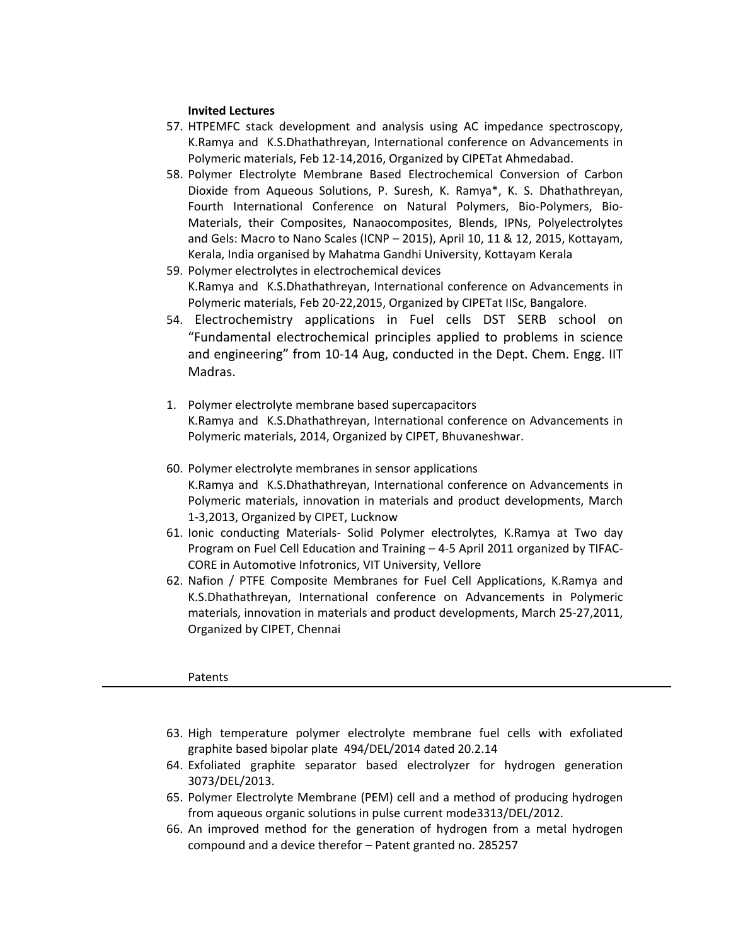### **Invited Lectures**

- 57. HTPEMFC stack development and analysis using AC impedance spectroscopy, K.Ramya and K.S.Dhathathreyan, International conference on Advancements in Polymeric materials, Feb 12-14,2016, Organized by CIPETat Ahmedabad.
- 58. Polymer Electrolyte Membrane Based Electrochemical Conversion of Carbon Dioxide from Aqueous Solutions, P. Suresh, K. Ramya\*, K. S. Dhathathreyan, Fourth International Conference on Natural Polymers, Bio-Polymers, Bio-Materials, their Composites, Nanaocomposites, Blends, IPNs, Polyelectrolytes and Gels: Macro to Nano Scales (ICNP – 2015), April 10, 11 & 12, 2015, Kottayam, Kerala, India organised by Mahatma Gandhi University, Kottayam Kerala
- 59. Polymer electrolytes in electrochemical devices K.Ramya and K.S.Dhathathreyan, International conference on Advancements in Polymeric materials, Feb 20-22,2015, Organized by CIPETat IISc, Bangalore.
- 54. Electrochemistry applications in Fuel cells DST SERB school on "Fundamental electrochemical principles applied to problems in science and engineering" from 10-14 Aug, conducted in the Dept. Chem. Engg. IIT Madras.
- 1. Polymer electrolyte membrane based supercapacitors K.Ramya and K.S.Dhathathreyan, International conference on Advancements in Polymeric materials, 2014, Organized by CIPET, Bhuvaneshwar.
- 60. Polymer electrolyte membranes in sensor applications K.Ramya and K.S.Dhathathreyan, International conference on Advancements in Polymeric materials, innovation in materials and product developments, March 1-3,2013, Organized by CIPET, Lucknow
- 61. Ionic conducting Materials- Solid Polymer electrolytes, K.Ramya at Two day Program on Fuel Cell Education and Training – 4-5 April 2011 organized by TIFAC-CORE in Automotive Infotronics, VIT University, Vellore
- 62. Nafion / PTFE Composite Membranes for Fuel Cell Applications, K.Ramya and K.S.Dhathathreyan, International conference on Advancements in Polymeric materials, innovation in materials and product developments, March 25-27,2011, Organized by CIPET, Chennai

#### Patents

- 63. High temperature polymer electrolyte membrane fuel cells with exfoliated graphite based bipolar plate 494/DEL/2014 dated 20.2.14
- 64. Exfoliated graphite separator based electrolyzer for hydrogen generation 3073/DEL/2013.
- 65. Polymer Electrolyte Membrane (PEM) cell and a method of producing hydrogen from aqueous organic solutions in pulse current mode3313/DEL/2012.
- 66. An improved method for the generation of hydrogen from a metal hydrogen compound and a device therefor – Patent granted no. 285257